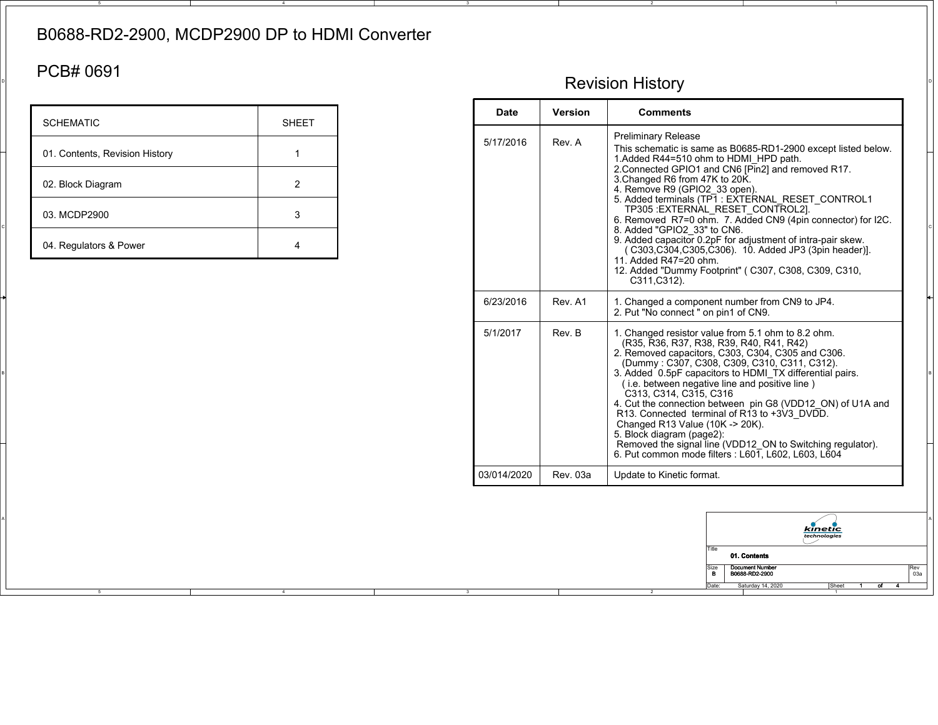## B0688-RD2-2900, MCDP2900 DP to HDMI Converter

## PCB# 0691

| <b>SCHEMATIC</b>               | <b>SHEET</b> |
|--------------------------------|--------------|
| 01. Contents, Revision History |              |
| 02. Block Diagram              | 2            |
| 03. MCDP2900                   | 3            |
| 04. Regulators & Power         |              |

## $\mathsf{P}^{\mathsf{P}}$  Revision History  $\mathsf{P}^{\mathsf{P}}$

| <b>SCHEMATIC</b>                  | <b>SHEET</b>        | <b>Date</b> | Version  | <b>Comments</b>                                                                                                                                                                                                                                                                                                                                                                                                                                                                                                                                                                                                                                |
|-----------------------------------|---------------------|-------------|----------|------------------------------------------------------------------------------------------------------------------------------------------------------------------------------------------------------------------------------------------------------------------------------------------------------------------------------------------------------------------------------------------------------------------------------------------------------------------------------------------------------------------------------------------------------------------------------------------------------------------------------------------------|
| 01. Contents, Revision History    |                     | 5/17/2016   | Rev. A   | <b>Preliminary Release</b><br>This schematic is same as B0685-RD1-2900 except listed below.<br>1. Added R44=510 ohm to HDMI HPD path.<br>2. Connected GPIO1 and CN6 [Pin2] and removed R17.<br>3. Changed R6 from 47K to 20K.                                                                                                                                                                                                                                                                                                                                                                                                                  |
| 02. Block Diagram<br>03. MCDP2900 | $\overline{2}$<br>3 |             |          | 4. Remove R9 (GPIO2_33 open).<br>5. Added terminals (TP1: EXTERNAL_RESET_CONTROL1<br>TP305 :EXTERNAL_RESET_CONTROL2].<br>6. Removed R7=0 ohm. 7. Added CN9 (4pin connector) for I2C.<br>8. Added "GPIO2 33" to CN6.                                                                                                                                                                                                                                                                                                                                                                                                                            |
| 04. Regulators & Power            | $\overline{4}$      |             |          | 9. Added capacitor 0.2pF for adjustment of intra-pair skew.<br>(C303,C304,C305,C306). 10. Added JP3 (3pin header)].<br>11. Added R47=20 ohm.<br>12. Added "Dummy Footprint" (C307, C308, C309, C310,<br>C311, C312).                                                                                                                                                                                                                                                                                                                                                                                                                           |
|                                   |                     | 6/23/2016   | Rev. A1  | 1. Changed a component number from CN9 to JP4.<br>2. Put "No connect" on pin1 of CN9.                                                                                                                                                                                                                                                                                                                                                                                                                                                                                                                                                          |
|                                   |                     | 5/1/2017    | Rev. B   | 1. Changed resistor value from 5.1 ohm to 8.2 ohm.<br>(R35, R36, R37, R38, R39, R40, R41, R42)<br>2. Removed capacitors, C303, C304, C305 and C306.<br>(Dummy: C307, C308, C309, C310, C311, C312).<br>3. Added 0.5pF capacitors to HDMI_TX differential pairs.<br>(i.e. between negative line and positive line)<br>C313, C314, C315, C316<br>4. Cut the connection between pin G8 (VDD12_ON) of U1A and<br>R13. Connected terminal of R13 to +3V3 DVDD.<br>Changed R13 Value (10K -> 20K).<br>5. Block diagram (page2):<br>Removed the signal line (VDD12 ON to Switching regulator).<br>6. Put common mode filters : L601, L602, L603, L604 |
|                                   |                     | 03/014/2020 | Rev. 03a | Update to Kinetic format.                                                                                                                                                                                                                                                                                                                                                                                                                                                                                                                                                                                                                      |

|  |  | 03/014/2020 | Rev. 03a | Update to Kinetic format. |                      |                                          |                         |      |                      |
|--|--|-------------|----------|---------------------------|----------------------|------------------------------------------|-------------------------|------|----------------------|
|  |  |             |          |                           |                      |                                          |                         |      |                      |
|  |  |             |          |                           |                      |                                          |                         |      |                      |
|  |  |             |          |                           |                      |                                          | kinetic<br>technologies |      |                      |
|  |  |             |          |                           |                      |                                          |                         |      |                      |
|  |  |             |          |                           |                      | 01. Contents                             |                         |      |                      |
|  |  |             |          |                           | Size<br>$\mathbf{B}$ | <b>Document Number</b><br>B0688-RD2-2900 |                         |      | $Rev$ <sub>03a</sub> |
|  |  |             |          |                           | Date:                | Saturday 14, 2020                        | Sheet                   | of ' |                      |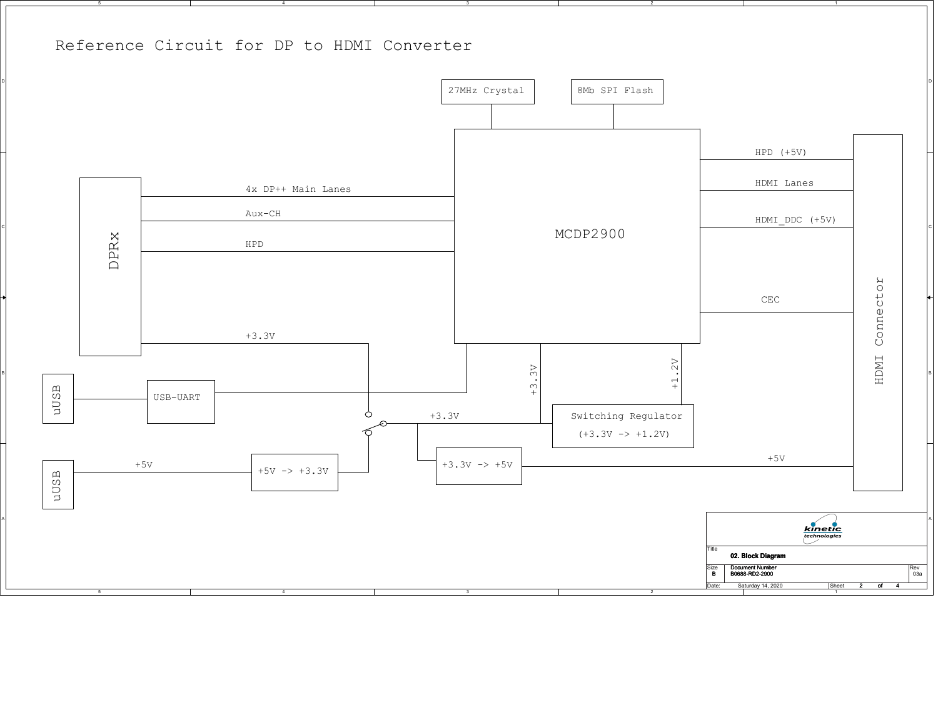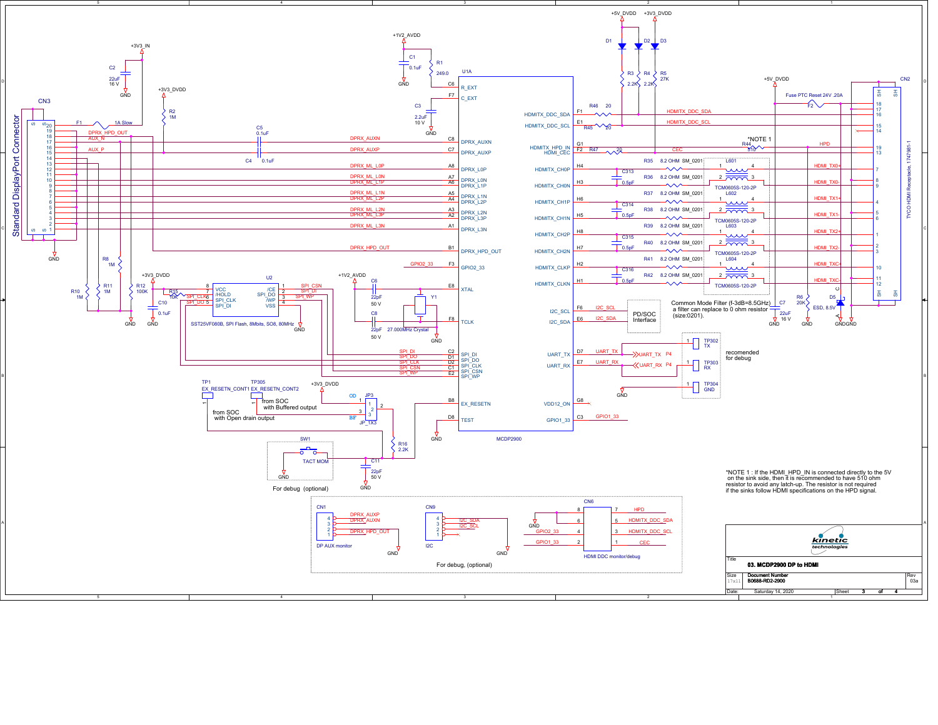